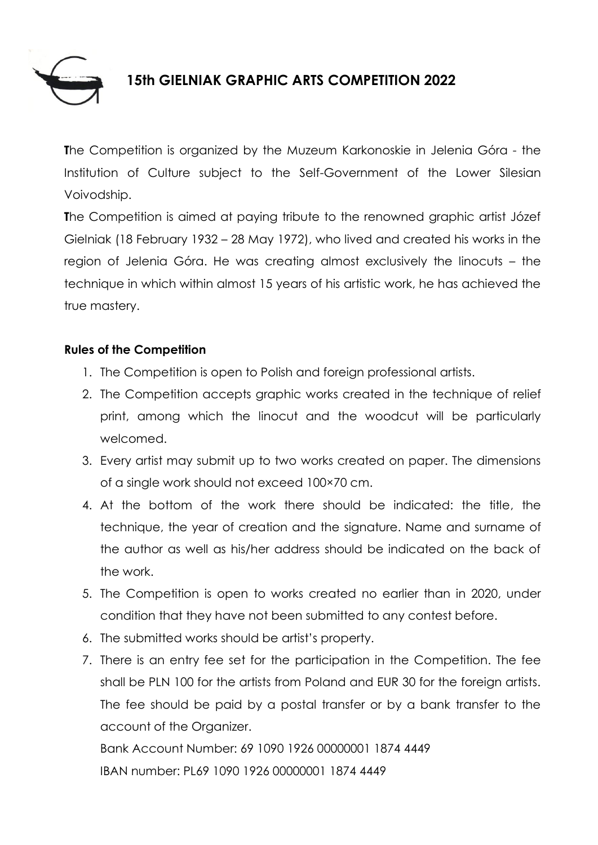

## **15th GIELNIAK GRAPHIC ARTS COMPETITION 2022**

**T**he Competition is organized by the Muzeum Karkonoskie in Jelenia Góra - the Institution of Culture subject to the Self-Government of the Lower Silesian Voivodship.

**T**he Competition is aimed at paying tribute to the renowned graphic artist Józef Gielniak (18 February 1932 – 28 May 1972), who lived and created his works in the region of Jelenia Góra. He was creating almost exclusively the linocuts – the technique in which within almost 15 years of his artistic work, he has achieved the true mastery.

## **Rules of the Competition**

- 1. The Competition is open to Polish and foreign professional artists.
- 2. The Competition accepts graphic works created in the technique of relief print, among which the linocut and the woodcut will be particularly welcomed.
- 3. Every artist may submit up to two works created on paper. The dimensions of a single work should not exceed 100×70 cm.
- 4. At the bottom of the work there should be indicated: the title, the technique, the year of creation and the signature. Name and surname of the author as well as his/her address should be indicated on the back of the work.
- 5. The Competition is open to works created no earlier than in 2020, under condition that they have not been submitted to any contest before.
- 6. The submitted works should be artist's property.
- 7. There is an entry fee set for the participation in the Competition. The fee shall be PLN 100 for the artists from Poland and EUR 30 for the foreign artists. The fee should be paid by a postal transfer or by a bank transfer to the account of the Organizer.

Bank Account Number: 69 1090 1926 00000001 1874 4449 IBAN number: PL69 1090 1926 00000001 1874 4449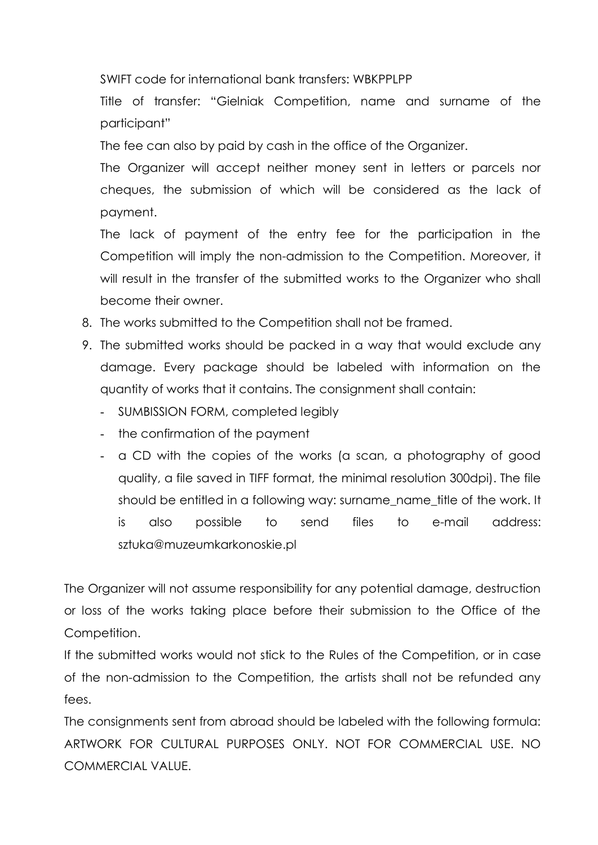SWIFT code for international bank transfers: WBKPPLPP

Title of transfer: "Gielniak Competition, name and surname of the participant"

The fee can also by paid by cash in the office of the Organizer.

The Organizer will accept neither money sent in letters or parcels nor cheques, the submission of which will be considered as the lack of payment.

The lack of payment of the entry fee for the participation in the Competition will imply the non-admission to the Competition. Moreover, it will result in the transfer of the submitted works to the Organizer who shall become their owner.

- 8. The works submitted to the Competition shall not be framed.
- 9. The submitted works should be packed in a way that would exclude any damage. Every package should be labeled with information on the quantity of works that it contains. The consignment shall contain:
	- SUMBISSION FORM, completed legibly
	- the confirmation of the payment
	- a CD with the copies of the works (a scan, a photography of good quality, a file saved in TIFF format, the minimal resolution 300dpi). The file should be entitled in a following way: surname name title of the work. It is also possible to send files to e-mail address: sztuka@muzeumkarkonoskie.pl

The Organizer will not assume responsibility for any potential damage, destruction or loss of the works taking place before their submission to the Office of the Competition.

If the submitted works would not stick to the Rules of the Competition, or in case of the non-admission to the Competition, the artists shall not be refunded any fees.

The consignments sent from abroad should be labeled with the following formula: ARTWORK FOR CULTURAL PURPOSES ONLY. NOT FOR COMMERCIAL USE. NO COMMERCIAL VALUE.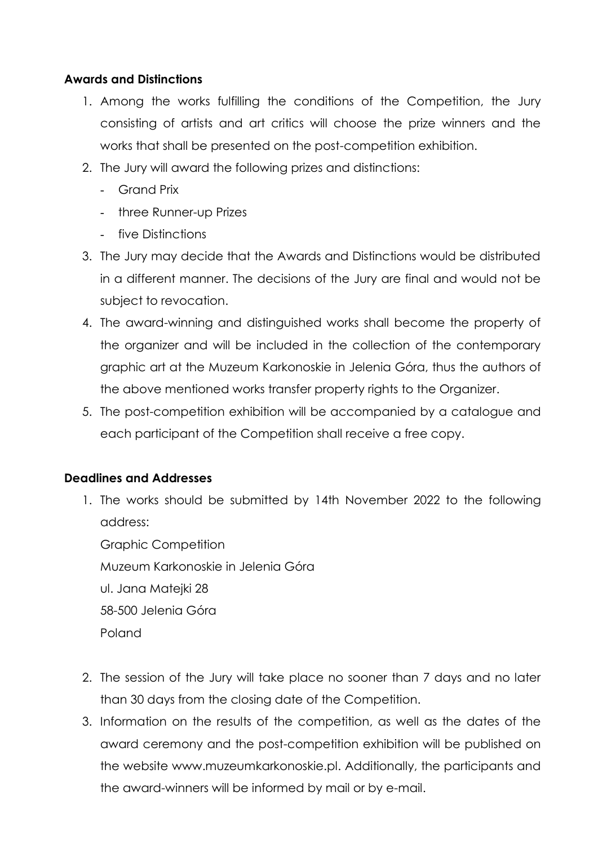## **Awards and Distinctions**

- 1. Among the works fulfilling the conditions of the Competition, the Jury consisting of artists and art critics will choose the prize winners and the works that shall be presented on the post-competition exhibition.
- 2. The Jury will award the following prizes and distinctions:
	- Grand Prix
	- three Runner-up Prizes
	- five Distinctions
- 3. The Jury may decide that the Awards and Distinctions would be distributed in a different manner. The decisions of the Jury are final and would not be subject to revocation.
- 4. The award-winning and distinguished works shall become the property of the organizer and will be included in the collection of the contemporary graphic art at the Muzeum Karkonoskie in Jelenia Góra, thus the authors of the above mentioned works transfer property rights to the Organizer.
- 5. The post-competition exhibition will be accompanied by a catalogue and each participant of the Competition shall receive a free copy.

## **Deadlines and Addresses**

1. The works should be submitted by 14th November 2022 to the following address:

Graphic Competition Muzeum Karkonoskie in Jelenia Góra ul. Jana Matejki 28 58-500 Jelenia Góra Poland

- 2. The session of the Jury will take place no sooner than 7 days and no later than 30 days from the closing date of the Competition.
- 3. Information on the results of the competition, as well as the dates of the award ceremony and the post-competition exhibition will be published on the website [www.muzeumkarkonoskie.pl.](http://www.muzeumkarkonoskie.pl/) Additionally, the participants and the award-winners will be informed by mail or by e-mail.